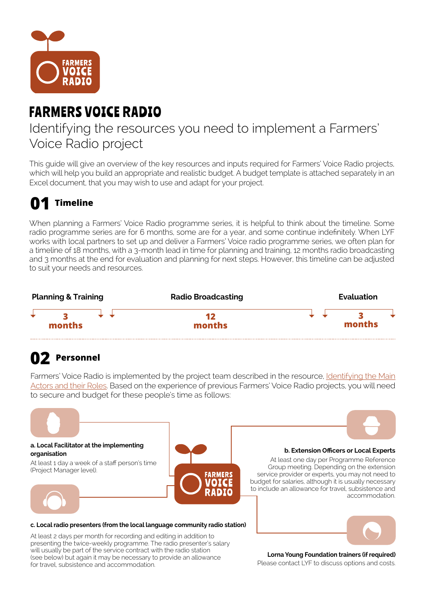

# FARMERS VOICE RADIO

### Identifying the resources you need to implement a Farmers' Voice Radio project

This guide will give an overview of the key resources and inputs required for Farmers' Voice Radio projects, which will help you build an appropriate and realistic budget. A budget template is attached separately in an Excel document, that you may wish to use and adapt for your project.

# **01 Timeline**

When planning a Farmers' Voice Radio programme series, it is helpful to think about the timeline. Some radio programme series are for 6 months, some are for a year, and some continue indefinitely. When LYF works with local partners to set up and deliver a Farmers' Voice radio programme series, we often plan for a timeline of 18 months, with a 3-month lead in time for planning and training, 12 months radio broadcasting and 3 months at the end for evaluation and planning for next steps. However, this timeline can be adjusted to suit your needs and resources.



### **02 Personnel**

Farmers' Voice Radio is implemented by the project team described in the resource, Identifying the Main [Actors and their Roles](https://www.farmersvoiceradio.org/2-identifying-main-actors). Based on the experience of previous Farmers' Voice Radio projects, you will need to secure and budget for these people's time as follows:



for travel, subsistence and accommodation.

Please contact LYF to discuss options and costs.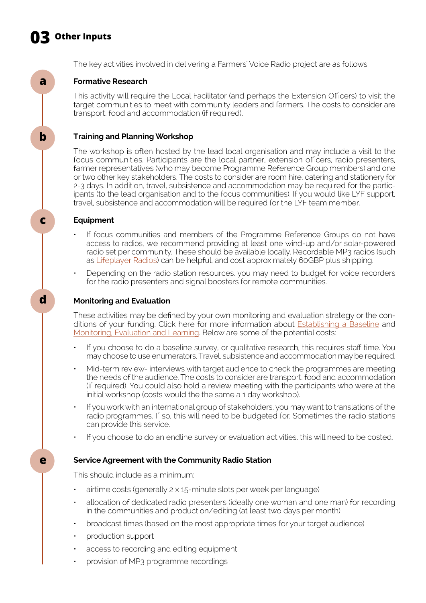## **03 Other Inputs**



**e**

The key activities involved in delivering a Farmers' Voice Radio project are as follows:

#### **Formative Research**

This activity will require the Local Facilitator (and perhaps the Extension Officers) to visit the target communities to meet with community leaders and farmers. The costs to consider are transport, food and accommodation (if required).

#### **Training and Planning Workshop**

The workshop is often hosted by the lead local organisation and may include a visit to the focus communities. Participants are the local partner, extension officers, radio presenters, farmer representatives (who may become Programme Reference Group members) and one or two other key stakeholders. The costs to consider are room hire, catering and stationery for 2-3 days. In addition, travel, subsistence and accommodation may be required for the participants (to the lead organisation and to the focus communities). If you would like LYF support, travel, subsistence and accommodation will be required for the LYF team member.

#### **Equipment**

- If focus communities and members of the Programme Reference Groups do not have access to radios, we recommend providing at least one wind-up and/or solar-powered radio set per community. These should be available locally. Recordable MP3 radios (such as [Lifeplayer Radios](https://www.lifelineenergy.org/technology/the-lifeplayer/ )) can be helpful, and cost approximately 60GBP plus shipping.
- Depending on the radio station resources, you may need to budget for voice recorders for the radio presenters and signal boosters for remote communities.

#### **Monitoring and Evaluation**

These activities may be defined by your own monitoring and evaluation strategy or the conditions of your funding. Click here for more information about **[Establishing a Baseline](https://www.farmersvoiceradio.org/6-establishing-a-baseline)** and [Monitoring, Evaluation and Learning](https://www.farmersvoiceradio.org/12-monitoring-evaluation-learning). Below are some of the potential costs:

- If you choose to do a baseline survey, or qualitative research, this requires staff time. You may choose to use enumerators. Travel, subsistence and accommodation may be required.
- Mid-term review- interviews with target audience to check the programmes are meeting the needs of the audience. The costs to consider are transport, food and accommodation (if required). You could also hold a review meeting with the participants who were at the initial workshop (costs would the the same a 1 day workshop).
- If you work with an international group of stakeholders, you may want to translations of the radio programmes. If so, this will need to be budgeted for. Sometimes the radio stations can provide this service.
- If you choose to do an endline survey or evaluation activities, this will need to be costed.

#### **Service Agreement with the Community Radio Station**

This should include as a minimum:

- airtime costs (generally 2 x 15-minute slots per week per language)
- allocation of dedicated radio presenters (ideally one woman and one man) for recording in the communities and production/editing (at least two days per month)
- broadcast times (based on the most appropriate times for your target audience)
- production support
- access to recording and editing equipment
- provision of MP3 programme recordings